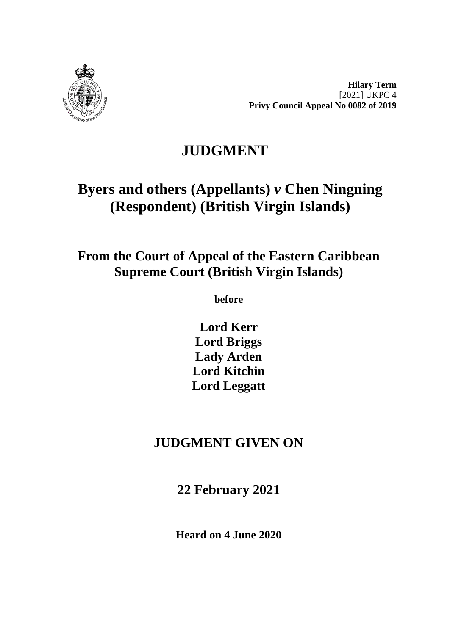

**Hilary Term** [2021] UKPC 4 **Privy Council Appeal No 0082 of 2019**

## **JUDGMENT**

# **Byers and others (Appellants)** *v* **Chen Ningning (Respondent) (British Virgin Islands)**

## **From the Court of Appeal of the Eastern Caribbean Supreme Court (British Virgin Islands)**

**before**

**Lord Kerr Lord Briggs Lady Arden Lord Kitchin Lord Leggatt**

## **JUDGMENT GIVEN ON**

**22 February 2021**

**Heard on 4 June 2020**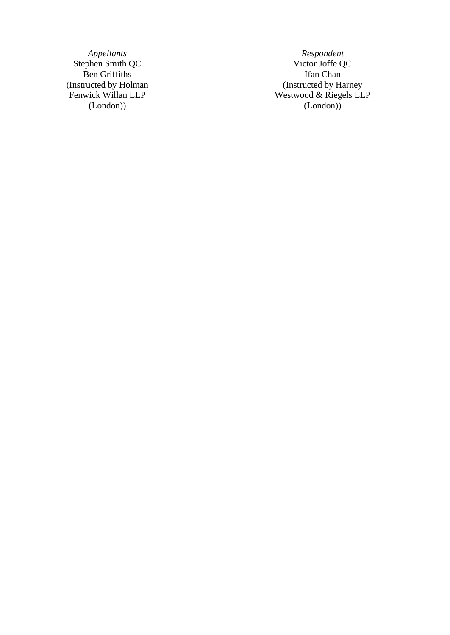(Instructed by Holman Fenwick Willan LLP (London) )

*Appellants Respondent* Stephen Smith QC Victor Joffe QC Ben Griffiths Ifan Chan (Instructed by Harney Westwood & Riegels LLP (London) )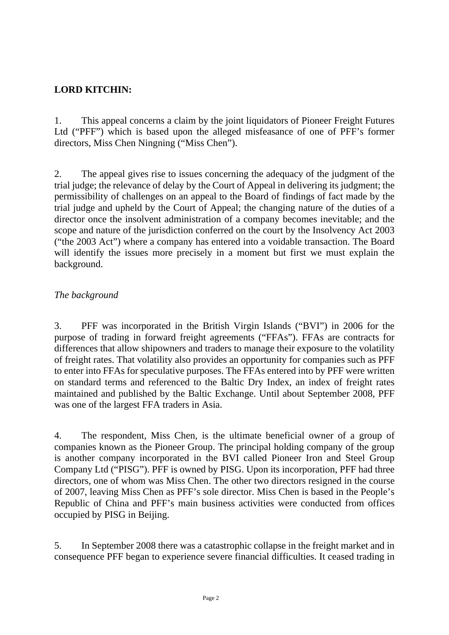## **LORD KITCHIN:**

1. This appeal concerns a claim by the joint liquidators of Pioneer Freight Futures Ltd ("PFF") which is based upon the alleged misfeasance of one of PFF's former directors, Miss Chen Ningning ("Miss Chen").

2. The appeal gives rise to issues concerning the adequacy of the judgment of the trial judge; the relevance of delay by the Court of Appeal in delivering its judgment; the permissibility of challenges on an appeal to the Board of findings of fact made by the trial judge and upheld by the Court of Appeal; the changing nature of the duties of a director once the insolvent administration of a company becomes inevitable; and the scope and nature of the jurisdiction conferred on the court by the Insolvency Act 2003 ("the 2003 Act") where a company has entered into a voidable transaction. The Board will identify the issues more precisely in a moment but first we must explain the background.

### *The background*

3. PFF was incorporated in the British Virgin Islands ("BVI") in 2006 for the purpose of trading in forward freight agreements ("FFAs"). FFAs are contracts for differences that allow shipowners and traders to manage their exposure to the volatility of freight rates. That volatility also provides an opportunity for companies such as PFF to enter into FFAs for speculative purposes. The FFAs entered into by PFF were written on standard terms and referenced to the Baltic Dry Index, an index of freight rates maintained and published by the Baltic Exchange. Until about September 2008, PFF was one of the largest FFA traders in Asia.

4. The respondent, Miss Chen, is the ultimate beneficial owner of a group of companies known as the Pioneer Group. The principal holding company of the group is another company incorporated in the BVI called Pioneer Iron and Steel Group Company Ltd ("PISG"). PFF is owned by PISG. Upon its incorporation, PFF had three directors, one of whom was Miss Chen. The other two directors resigned in the course of 2007, leaving Miss Chen as PFF's sole director. Miss Chen is based in the People's Republic of China and PFF's main business activities were conducted from offices occupied by PISG in Beijing.

5. In September 2008 there was a catastrophic collapse in the freight market and in consequence PFF began to experience severe financial difficulties. It ceased trading in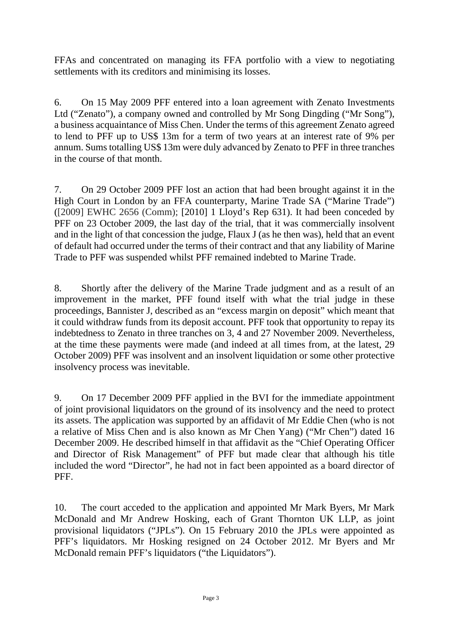FFAs and concentrated on managing its FFA portfolio with a view to negotiating settlements with its creditors and minimising its losses.

6. On 15 May 2009 PFF entered into a loan agreement with Zenato Investments Ltd ("Zenato"), a company owned and controlled by Mr Song Dingding ("Mr Song"), a business acquaintance of Miss Chen. Under the terms of this agreement Zenato agreed to lend to PFF up to US\$ 13m for a term of two years at an interest rate of 9% per annum. Sums totalling US\$ 13m were duly advanced by Zenato to PFF in three tranches in the course of that month.

7. On 29 October 2009 PFF lost an action that had been brought against it in the High Court in London by an FFA counterparty, Marine Trade SA ("Marine Trade") ([2009] EWHC 2656 (Comm); [2010] 1 Lloyd's Rep 631). It had been conceded by PFF on 23 October 2009, the last day of the trial, that it was commercially insolvent and in the light of that concession the judge, Flaux J (as he then was), held that an event of default had occurred under the terms of their contract and that any liability of Marine Trade to PFF was suspended whilst PFF remained indebted to Marine Trade.

8. Shortly after the delivery of the Marine Trade judgment and as a result of an improvement in the market, PFF found itself with what the trial judge in these proceedings, Bannister J, described as an "excess margin on deposit" which meant that it could withdraw funds from its deposit account. PFF took that opportunity to repay its indebtedness to Zenato in three tranches on 3, 4 and 27 November 2009. Nevertheless, at the time these payments were made (and indeed at all times from, at the latest, 29 October 2009) PFF was insolvent and an insolvent liquidation or some other protective insolvency process was inevitable.

9. On 17 December 2009 PFF applied in the BVI for the immediate appointment of joint provisional liquidators on the ground of its insolvency and the need to protect its assets. The application was supported by an affidavit of Mr Eddie Chen (who is not a relative of Miss Chen and is also known as Mr Chen Yang) ("Mr Chen") dated 16 December 2009. He described himself in that affidavit as the "Chief Operating Officer and Director of Risk Management" of PFF but made clear that although his title included the word "Director", he had not in fact been appointed as a board director of PFF.

10. The court acceded to the application and appointed Mr Mark Byers, Mr Mark McDonald and Mr Andrew Hosking, each of Grant Thornton UK LLP, as joint provisional liquidators ("JPLs"). On 15 February 2010 the JPLs were appointed as PFF's liquidators. Mr Hosking resigned on 24 October 2012. Mr Byers and Mr McDonald remain PFF's liquidators ("the Liquidators").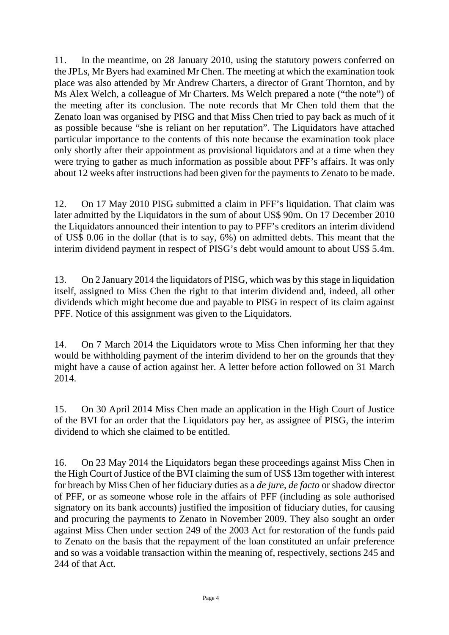11. In the meantime, on 28 January 2010, using the statutory powers conferred on the JPLs, Mr Byers had examined Mr Chen. The meeting at which the examination took place was also attended by Mr Andrew Charters, a director of Grant Thornton, and by Ms Alex Welch, a colleague of Mr Charters. Ms Welch prepared a note ("the note") of the meeting after its conclusion. The note records that Mr Chen told them that the Zenato loan was organised by PISG and that Miss Chen tried to pay back as much of it as possible because "she is reliant on her reputation". The Liquidators have attached particular importance to the contents of this note because the examination took place only shortly after their appointment as provisional liquidators and at a time when they were trying to gather as much information as possible about PFF's affairs. It was only about 12 weeks after instructions had been given for the payments to Zenato to be made.

12. On 17 May 2010 PISG submitted a claim in PFF's liquidation. That claim was later admitted by the Liquidators in the sum of about US\$ 90m. On 17 December 2010 the Liquidators announced their intention to pay to PFF's creditors an interim dividend of US\$ 0.06 in the dollar (that is to say, 6%) on admitted debts. This meant that the interim dividend payment in respect of PISG's debt would amount to about US\$ 5.4m.

13. On 2 January 2014 the liquidators of PISG, which was by this stage in liquidation itself, assigned to Miss Chen the right to that interim dividend and, indeed, all other dividends which might become due and payable to PISG in respect of its claim against PFF. Notice of this assignment was given to the Liquidators.

14. On 7 March 2014 the Liquidators wrote to Miss Chen informing her that they would be withholding payment of the interim dividend to her on the grounds that they might have a cause of action against her. A letter before action followed on 31 March 2014.

15. On 30 April 2014 Miss Chen made an application in the High Court of Justice of the BVI for an order that the Liquidators pay her, as assignee of PISG, the interim dividend to which she claimed to be entitled.

16. On 23 May 2014 the Liquidators began these proceedings against Miss Chen in the High Court of Justice of the BVI claiming the sum of US\$ 13m together with interest for breach by Miss Chen of her fiduciary duties as a *de jure*, *de facto* or shadow director of PFF, or as someone whose role in the affairs of PFF (including as sole authorised signatory on its bank accounts) justified the imposition of fiduciary duties, for causing and procuring the payments to Zenato in November 2009. They also sought an order against Miss Chen under section 249 of the 2003 Act for restoration of the funds paid to Zenato on the basis that the repayment of the loan constituted an unfair preference and so was a voidable transaction within the meaning of, respectively, sections 245 and 244 of that Act.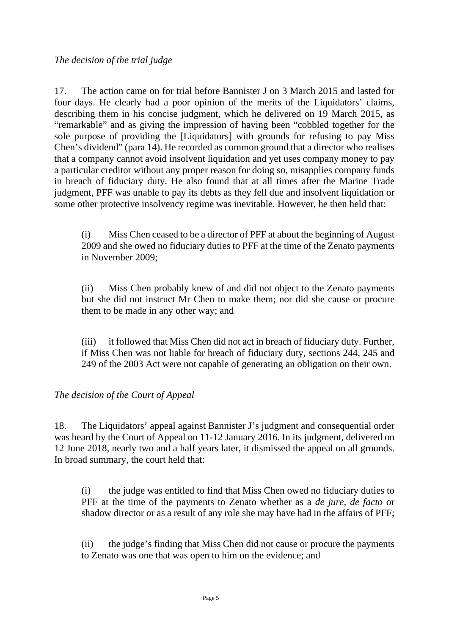17. The action came on for trial before Bannister J on 3 March 2015 and lasted for four days. He clearly had a poor opinion of the merits of the Liquidators' claims, describing them in his concise judgment, which he delivered on 19 March 2015, as "remarkable" and as giving the impression of having been "cobbled together for the sole purpose of providing the [Liquidators] with grounds for refusing to pay Miss Chen's dividend" (para 14). He recorded as common ground that a director who realises that a company cannot avoid insolvent liquidation and yet uses company money to pay a particular creditor without any proper reason for doing so, misapplies company funds in breach of fiduciary duty. He also found that at all times after the Marine Trade judgment, PFF was unable to pay its debts as they fell due and insolvent liquidation or some other protective insolvency regime was inevitable. However, he then held that:

(i) Miss Chen ceased to be a director of PFF at about the beginning of August 2009 and she owed no fiduciary duties to PFF at the time of the Zenato payments in November 2009;

(ii) Miss Chen probably knew of and did not object to the Zenato payments but she did not instruct Mr Chen to make them; nor did she cause or procure them to be made in any other way; and

(iii) it followed that Miss Chen did not act in breach of fiduciary duty. Further, if Miss Chen was not liable for breach of fiduciary duty, sections 244, 245 and 249 of the 2003 Act were not capable of generating an obligation on their own.

#### *The decision of the Court of Appeal*

18. The Liquidators' appeal against Bannister J's judgment and consequential order was heard by the Court of Appeal on 11-12 January 2016. In its judgment, delivered on 12 June 2018, nearly two and a half years later, it dismissed the appeal on all grounds. In broad summary, the court held that:

(i) the judge was entitled to find that Miss Chen owed no fiduciary duties to PFF at the time of the payments to Zenato whether as a *de jure*, *de facto* or shadow director or as a result of any role she may have had in the affairs of PFF;

(ii) the judge's finding that Miss Chen did not cause or procure the payments to Zenato was one that was open to him on the evidence; and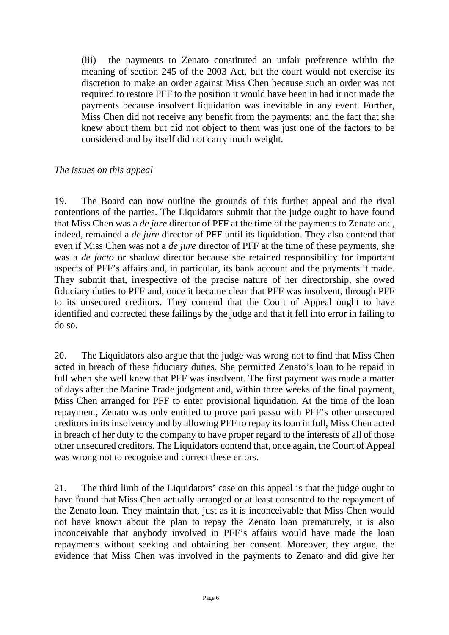(iii) the payments to Zenato constituted an unfair preference within the meaning of section 245 of the 2003 Act, but the court would not exercise its discretion to make an order against Miss Chen because such an order was not required to restore PFF to the position it would have been in had it not made the payments because insolvent liquidation was inevitable in any event. Further, Miss Chen did not receive any benefit from the payments; and the fact that she knew about them but did not object to them was just one of the factors to be considered and by itself did not carry much weight.

#### *The issues on this appeal*

19. The Board can now outline the grounds of this further appeal and the rival contentions of the parties. The Liquidators submit that the judge ought to have found that Miss Chen was a *de jure* director of PFF at the time of the payments to Zenato and, indeed, remained a *de jure* director of PFF until its liquidation. They also contend that even if Miss Chen was not a *de jure* director of PFF at the time of these payments, she was a *de facto* or shadow director because she retained responsibility for important aspects of PFF's affairs and, in particular, its bank account and the payments it made. They submit that, irrespective of the precise nature of her directorship, she owed fiduciary duties to PFF and, once it became clear that PFF was insolvent, through PFF to its unsecured creditors. They contend that the Court of Appeal ought to have identified and corrected these failings by the judge and that it fell into error in failing to do so.

20. The Liquidators also argue that the judge was wrong not to find that Miss Chen acted in breach of these fiduciary duties. She permitted Zenato's loan to be repaid in full when she well knew that PFF was insolvent. The first payment was made a matter of days after the Marine Trade judgment and, within three weeks of the final payment, Miss Chen arranged for PFF to enter provisional liquidation. At the time of the loan repayment, Zenato was only entitled to prove pari passu with PFF's other unsecured creditors in its insolvency and by allowing PFF to repay its loan in full, Miss Chen acted in breach of her duty to the company to have proper regard to the interests of all of those other unsecured creditors. The Liquidators contend that, once again, the Court of Appeal was wrong not to recognise and correct these errors.

21. The third limb of the Liquidators' case on this appeal is that the judge ought to have found that Miss Chen actually arranged or at least consented to the repayment of the Zenato loan. They maintain that, just as it is inconceivable that Miss Chen would not have known about the plan to repay the Zenato loan prematurely, it is also inconceivable that anybody involved in PFF's affairs would have made the loan repayments without seeking and obtaining her consent. Moreover, they argue, the evidence that Miss Chen was involved in the payments to Zenato and did give her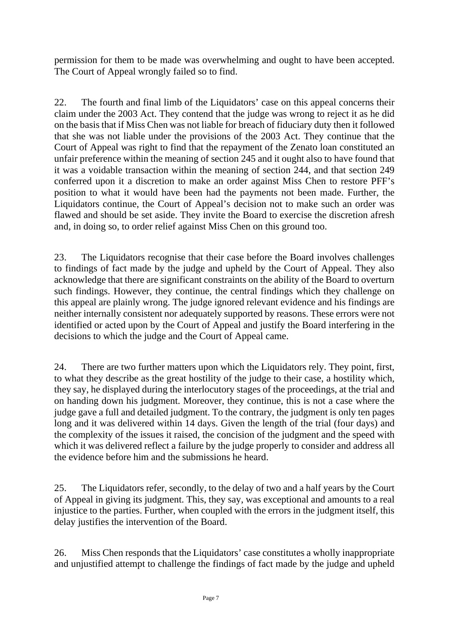permission for them to be made was overwhelming and ought to have been accepted. The Court of Appeal wrongly failed so to find.

22. The fourth and final limb of the Liquidators' case on this appeal concerns their claim under the 2003 Act. They contend that the judge was wrong to reject it as he did on the basis that if Miss Chen was not liable for breach of fiduciary duty then it followed that she was not liable under the provisions of the 2003 Act. They continue that the Court of Appeal was right to find that the repayment of the Zenato loan constituted an unfair preference within the meaning of section 245 and it ought also to have found that it was a voidable transaction within the meaning of section 244, and that section 249 conferred upon it a discretion to make an order against Miss Chen to restore PFF's position to what it would have been had the payments not been made. Further, the Liquidators continue, the Court of Appeal's decision not to make such an order was flawed and should be set aside. They invite the Board to exercise the discretion afresh and, in doing so, to order relief against Miss Chen on this ground too.

23. The Liquidators recognise that their case before the Board involves challenges to findings of fact made by the judge and upheld by the Court of Appeal. They also acknowledge that there are significant constraints on the ability of the Board to overturn such findings. However, they continue, the central findings which they challenge on this appeal are plainly wrong. The judge ignored relevant evidence and his findings are neither internally consistent nor adequately supported by reasons. These errors were not identified or acted upon by the Court of Appeal and justify the Board interfering in the decisions to which the judge and the Court of Appeal came.

24. There are two further matters upon which the Liquidators rely. They point, first, to what they describe as the great hostility of the judge to their case, a hostility which, they say, he displayed during the interlocutory stages of the proceedings, at the trial and on handing down his judgment. Moreover, they continue, this is not a case where the judge gave a full and detailed judgment. To the contrary, the judgment is only ten pages long and it was delivered within 14 days. Given the length of the trial (four days) and the complexity of the issues it raised, the concision of the judgment and the speed with which it was delivered reflect a failure by the judge properly to consider and address all the evidence before him and the submissions he heard.

25. The Liquidators refer, secondly, to the delay of two and a half years by the Court of Appeal in giving its judgment. This, they say, was exceptional and amounts to a real injustice to the parties. Further, when coupled with the errors in the judgment itself, this delay justifies the intervention of the Board.

26. Miss Chen responds that the Liquidators' case constitutes a wholly inappropriate and unjustified attempt to challenge the findings of fact made by the judge and upheld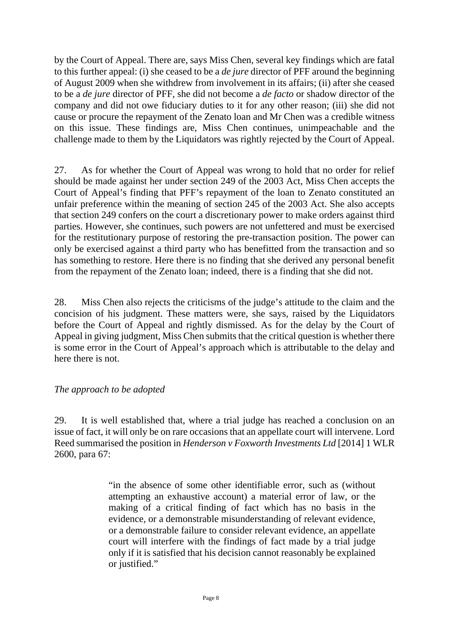by the Court of Appeal. There are, says Miss Chen, several key findings which are fatal to this further appeal: (i) she ceased to be a *de jure* director of PFF around the beginning of August 2009 when she withdrew from involvement in its affairs; (ii) after she ceased to be a *de jure* director of PFF, she did not become a *de facto* or shadow director of the company and did not owe fiduciary duties to it for any other reason; (iii) she did not cause or procure the repayment of the Zenato loan and Mr Chen was a credible witness on this issue. These findings are, Miss Chen continues, unimpeachable and the challenge made to them by the Liquidators was rightly rejected by the Court of Appeal.

27. As for whether the Court of Appeal was wrong to hold that no order for relief should be made against her under section 249 of the 2003 Act, Miss Chen accepts the Court of Appeal's finding that PFF's repayment of the loan to Zenato constituted an unfair preference within the meaning of section 245 of the 2003 Act. She also accepts that section 249 confers on the court a discretionary power to make orders against third parties. However, she continues, such powers are not unfettered and must be exercised for the restitutionary purpose of restoring the pre-transaction position. The power can only be exercised against a third party who has benefitted from the transaction and so has something to restore. Here there is no finding that she derived any personal benefit from the repayment of the Zenato loan; indeed, there is a finding that she did not.

28. Miss Chen also rejects the criticisms of the judge's attitude to the claim and the concision of his judgment. These matters were, she says, raised by the Liquidators before the Court of Appeal and rightly dismissed. As for the delay by the Court of Appeal in giving judgment, Miss Chen submits that the critical question is whether there is some error in the Court of Appeal's approach which is attributable to the delay and here there is not.

#### *The approach to be adopted*

29. It is well established that, where a trial judge has reached a conclusion on an issue of fact, it will only be on rare occasions that an appellate court will intervene. Lord Reed summarised the position in *Henderson v Foxworth Investments Ltd* [2014] 1 WLR 2600, para 67:

> "in the absence of some other identifiable error, such as (without attempting an exhaustive account) a material error of law, or the making of a critical finding of fact which has no basis in the evidence, or a demonstrable misunderstanding of relevant evidence, or a demonstrable failure to consider relevant evidence, an appellate court will interfere with the findings of fact made by a trial judge only if it is satisfied that his decision cannot reasonably be explained or justified."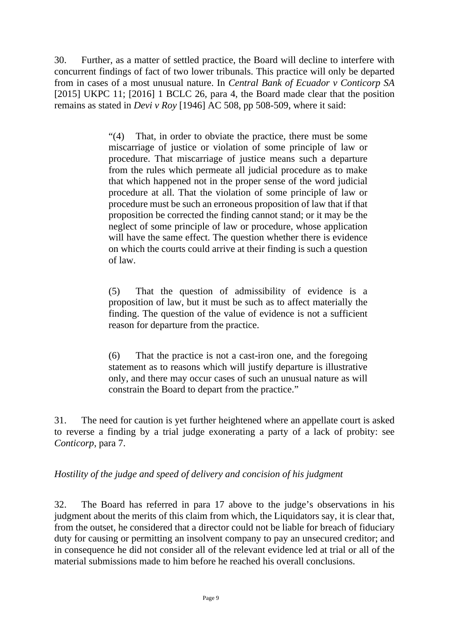30. Further, as a matter of settled practice, the Board will decline to interfere with concurrent findings of fact of two lower tribunals. This practice will only be departed from in cases of a most unusual nature. In *Central Bank of Ecuador v Conticorp SA* [2015] UKPC 11; [2016] 1 BCLC 26, para 4, the Board made clear that the position remains as stated in *Devi v Roy* [1946] AC 508, pp 508-509, where it said:

> "(4) That, in order to obviate the practice, there must be some miscarriage of justice or violation of some principle of law or procedure. That miscarriage of justice means such a departure from the rules which permeate all judicial procedure as to make that which happened not in the proper sense of the word judicial procedure at all. That the violation of some principle of law or procedure must be such an erroneous proposition of law that if that proposition be corrected the finding cannot stand; or it may be the neglect of some principle of law or procedure, whose application will have the same effect. The question whether there is evidence on which the courts could arrive at their finding is such a question of law.

> (5) That the question of admissibility of evidence is a proposition of law, but it must be such as to affect materially the finding. The question of the value of evidence is not a sufficient reason for departure from the practice.

> (6) That the practice is not a cast-iron one, and the foregoing statement as to reasons which will justify departure is illustrative only, and there may occur cases of such an unusual nature as will constrain the Board to depart from the practice."

31. The need for caution is yet further heightened where an appellate court is asked to reverse a finding by a trial judge exonerating a party of a lack of probity: see *Conticorp*, para 7.

#### *Hostility of the judge and speed of delivery and concision of his judgment*

32. The Board has referred in para 17 above to the judge's observations in his judgment about the merits of this claim from which, the Liquidators say, it is clear that, from the outset, he considered that a director could not be liable for breach of fiduciary duty for causing or permitting an insolvent company to pay an unsecured creditor; and in consequence he did not consider all of the relevant evidence led at trial or all of the material submissions made to him before he reached his overall conclusions.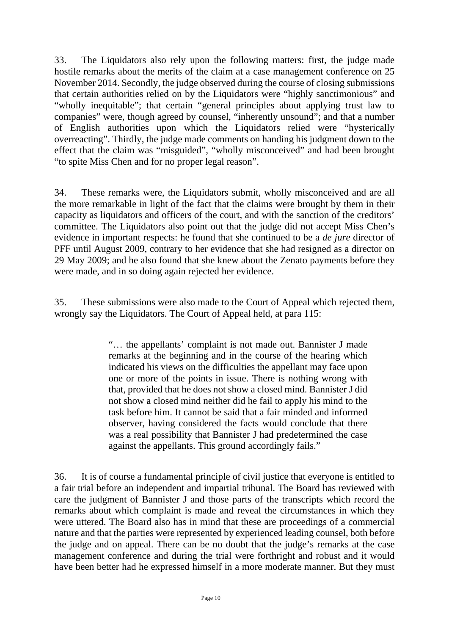33. The Liquidators also rely upon the following matters: first, the judge made hostile remarks about the merits of the claim at a case management conference on 25 November 2014. Secondly, the judge observed during the course of closing submissions that certain authorities relied on by the Liquidators were "highly sanctimonious" and "wholly inequitable"; that certain "general principles about applying trust law to companies" were, though agreed by counsel, "inherently unsound"; and that a number of English authorities upon which the Liquidators relied were "hysterically overreacting". Thirdly, the judge made comments on handing his judgment down to the effect that the claim was "misguided", "wholly misconceived" and had been brought "to spite Miss Chen and for no proper legal reason".

34. These remarks were, the Liquidators submit, wholly misconceived and are all the more remarkable in light of the fact that the claims were brought by them in their capacity as liquidators and officers of the court, and with the sanction of the creditors' committee. The Liquidators also point out that the judge did not accept Miss Chen's evidence in important respects: he found that she continued to be a *de jure* director of PFF until August 2009, contrary to her evidence that she had resigned as a director on 29 May 2009; and he also found that she knew about the Zenato payments before they were made, and in so doing again rejected her evidence.

35. These submissions were also made to the Court of Appeal which rejected them, wrongly say the Liquidators. The Court of Appeal held, at para 115:

> "… the appellants' complaint is not made out. Bannister J made remarks at the beginning and in the course of the hearing which indicated his views on the difficulties the appellant may face upon one or more of the points in issue. There is nothing wrong with that, provided that he does not show a closed mind. Bannister J did not show a closed mind neither did he fail to apply his mind to the task before him. It cannot be said that a fair minded and informed observer, having considered the facts would conclude that there was a real possibility that Bannister J had predetermined the case against the appellants. This ground accordingly fails."

36. It is of course a fundamental principle of civil justice that everyone is entitled to a fair trial before an independent and impartial tribunal. The Board has reviewed with care the judgment of Bannister J and those parts of the transcripts which record the remarks about which complaint is made and reveal the circumstances in which they were uttered. The Board also has in mind that these are proceedings of a commercial nature and that the parties were represented by experienced leading counsel, both before the judge and on appeal. There can be no doubt that the judge's remarks at the case management conference and during the trial were forthright and robust and it would have been better had he expressed himself in a more moderate manner. But they must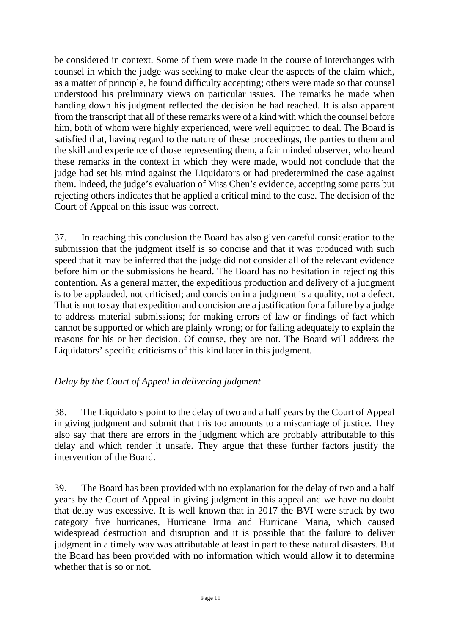be considered in context. Some of them were made in the course of interchanges with counsel in which the judge was seeking to make clear the aspects of the claim which, as a matter of principle, he found difficulty accepting; others were made so that counsel understood his preliminary views on particular issues. The remarks he made when handing down his judgment reflected the decision he had reached. It is also apparent from the transcript that all of these remarks were of a kind with which the counsel before him, both of whom were highly experienced, were well equipped to deal. The Board is satisfied that, having regard to the nature of these proceedings, the parties to them and the skill and experience of those representing them, a fair minded observer, who heard these remarks in the context in which they were made, would not conclude that the judge had set his mind against the Liquidators or had predetermined the case against them. Indeed, the judge's evaluation of Miss Chen's evidence, accepting some parts but rejecting others indicates that he applied a critical mind to the case. The decision of the Court of Appeal on this issue was correct.

37. In reaching this conclusion the Board has also given careful consideration to the submission that the judgment itself is so concise and that it was produced with such speed that it may be inferred that the judge did not consider all of the relevant evidence before him or the submissions he heard. The Board has no hesitation in rejecting this contention. As a general matter, the expeditious production and delivery of a judgment is to be applauded, not criticised; and concision in a judgment is a quality, not a defect. That is not to say that expedition and concision are a justification for a failure by a judge to address material submissions; for making errors of law or findings of fact which cannot be supported or which are plainly wrong; or for failing adequately to explain the reasons for his or her decision. Of course, they are not. The Board will address the Liquidators' specific criticisms of this kind later in this judgment.

### *Delay by the Court of Appeal in delivering judgment*

38. The Liquidators point to the delay of two and a half years by the Court of Appeal in giving judgment and submit that this too amounts to a miscarriage of justice. They also say that there are errors in the judgment which are probably attributable to this delay and which render it unsafe. They argue that these further factors justify the intervention of the Board.

39. The Board has been provided with no explanation for the delay of two and a half years by the Court of Appeal in giving judgment in this appeal and we have no doubt that delay was excessive. It is well known that in 2017 the BVI were struck by two category five hurricanes, Hurricane Irma and Hurricane Maria, which caused widespread destruction and disruption and it is possible that the failure to deliver judgment in a timely way was attributable at least in part to these natural disasters. But the Board has been provided with no information which would allow it to determine whether that is so or not.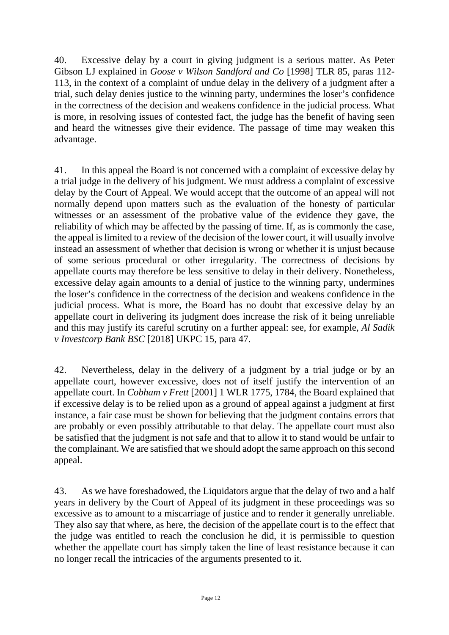40. Excessive delay by a court in giving judgment is a serious matter. As Peter Gibson LJ explained in *Goose v Wilson Sandford and Co* [1998] TLR 85, paras 112- 113, in the context of a complaint of undue delay in the delivery of a judgment after a trial, such delay denies justice to the winning party, undermines the loser's confidence in the correctness of the decision and weakens confidence in the judicial process. What is more, in resolving issues of contested fact, the judge has the benefit of having seen and heard the witnesses give their evidence. The passage of time may weaken this advantage.

41. In this appeal the Board is not concerned with a complaint of excessive delay by a trial judge in the delivery of his judgment. We must address a complaint of excessive delay by the Court of Appeal. We would accept that the outcome of an appeal will not normally depend upon matters such as the evaluation of the honesty of particular witnesses or an assessment of the probative value of the evidence they gave, the reliability of which may be affected by the passing of time. If, as is commonly the case, the appeal is limited to a review of the decision of the lower court, it will usually involve instead an assessment of whether that decision is wrong or whether it is unjust because of some serious procedural or other irregularity. The correctness of decisions by appellate courts may therefore be less sensitive to delay in their delivery. Nonetheless, excessive delay again amounts to a denial of justice to the winning party, undermines the loser's confidence in the correctness of the decision and weakens confidence in the judicial process. What is more, the Board has no doubt that excessive delay by an appellate court in delivering its judgment does increase the risk of it being unreliable and this may justify its careful scrutiny on a further appeal: see, for example, *Al Sadik v Investcorp Bank BSC* [2018] UKPC 15, para 47.

42. Nevertheless, delay in the delivery of a judgment by a trial judge or by an appellate court, however excessive, does not of itself justify the intervention of an appellate court. In *Cobham v Frett* [2001] 1 WLR 1775, 1784, the Board explained that if excessive delay is to be relied upon as a ground of appeal against a judgment at first instance, a fair case must be shown for believing that the judgment contains errors that are probably or even possibly attributable to that delay. The appellate court must also be satisfied that the judgment is not safe and that to allow it to stand would be unfair to the complainant. We are satisfied that we should adopt the same approach on this second appeal.

43. As we have foreshadowed, the Liquidators argue that the delay of two and a half years in delivery by the Court of Appeal of its judgment in these proceedings was so excessive as to amount to a miscarriage of justice and to render it generally unreliable. They also say that where, as here, the decision of the appellate court is to the effect that the judge was entitled to reach the conclusion he did, it is permissible to question whether the appellate court has simply taken the line of least resistance because it can no longer recall the intricacies of the arguments presented to it.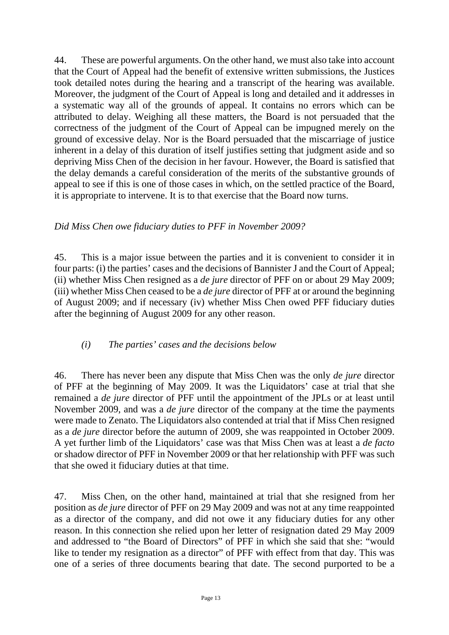44. These are powerful arguments. On the other hand, we must also take into account that the Court of Appeal had the benefit of extensive written submissions, the Justices took detailed notes during the hearing and a transcript of the hearing was available. Moreover, the judgment of the Court of Appeal is long and detailed and it addresses in a systematic way all of the grounds of appeal. It contains no errors which can be attributed to delay. Weighing all these matters, the Board is not persuaded that the correctness of the judgment of the Court of Appeal can be impugned merely on the ground of excessive delay. Nor is the Board persuaded that the miscarriage of justice inherent in a delay of this duration of itself justifies setting that judgment aside and so depriving Miss Chen of the decision in her favour. However, the Board is satisfied that the delay demands a careful consideration of the merits of the substantive grounds of appeal to see if this is one of those cases in which, on the settled practice of the Board, it is appropriate to intervene. It is to that exercise that the Board now turns.

### *Did Miss Chen owe fiduciary duties to PFF in November 2009?*

45. This is a major issue between the parties and it is convenient to consider it in four parts: (i) the parties' cases and the decisions of Bannister J and the Court of Appeal; (ii) whether Miss Chen resigned as a *de jure* director of PFF on or about 29 May 2009; (iii) whether Miss Chen ceased to be a *de jure* director of PFF at or around the beginning of August 2009; and if necessary (iv) whether Miss Chen owed PFF fiduciary duties after the beginning of August 2009 for any other reason.

## *(i) The parties' cases and the decisions below*

46. There has never been any dispute that Miss Chen was the only *de jure* director of PFF at the beginning of May 2009. It was the Liquidators' case at trial that she remained a *de jure* director of PFF until the appointment of the JPLs or at least until November 2009, and was a *de jure* director of the company at the time the payments were made to Zenato. The Liquidators also contended at trial that if Miss Chen resigned as a *de jure* director before the autumn of 2009, she was reappointed in October 2009. A yet further limb of the Liquidators' case was that Miss Chen was at least a *de facto* or shadow director of PFF in November 2009 or that her relationship with PFF was such that she owed it fiduciary duties at that time.

47. Miss Chen, on the other hand, maintained at trial that she resigned from her position as *de jure* director of PFF on 29 May 2009 and was not at any time reappointed as a director of the company, and did not owe it any fiduciary duties for any other reason. In this connection she relied upon her letter of resignation dated 29 May 2009 and addressed to "the Board of Directors" of PFF in which she said that she: "would like to tender my resignation as a director" of PFF with effect from that day. This was one of a series of three documents bearing that date. The second purported to be a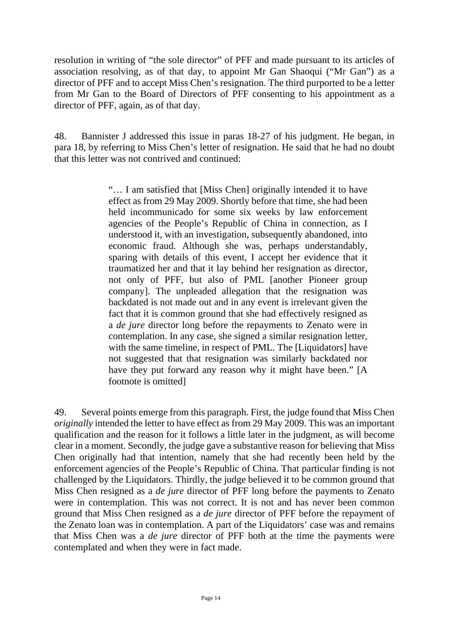resolution in writing of "the sole director" of PFF and made pursuant to its articles of association resolving, as of that day, to appoint Mr Gan Shaoqui ("Mr Gan") as a director of PFF and to accept Miss Chen's resignation. The third purported to be a letter from Mr Gan to the Board of Directors of PFF consenting to his appointment as a director of PFF, again, as of that day.

48. Bannister J addressed this issue in paras 18-27 of his judgment. He began, in para 18, by referring to Miss Chen's letter of resignation. He said that he had no doubt that this letter was not contrived and continued:

> "… I am satisfied that [Miss Chen] originally intended it to have effect as from 29 May 2009. Shortly before that time, she had been held incommunicado for some six weeks by law enforcement agencies of the People's Republic of China in connection, as I understood it, with an investigation, subsequently abandoned, into economic fraud. Although she was, perhaps understandably, sparing with details of this event, I accept her evidence that it traumatized her and that it lay behind her resignation as director, not only of PFF, but also of PML [another Pioneer group company]. The unpleaded allegation that the resignation was backdated is not made out and in any event is irrelevant given the fact that it is common ground that she had effectively resigned as a *de jure* director long before the repayments to Zenato were in contemplation. In any case, she signed a similar resignation letter, with the same timeline, in respect of PML. The [Liquidators] have not suggested that that resignation was similarly backdated nor have they put forward any reason why it might have been." [A footnote is omitted]

49. Several points emerge from this paragraph. First, the judge found that Miss Chen *originally* intended the letter to have effect as from 29 May 2009. This was an important qualification and the reason for it follows a little later in the judgment, as will become clear in a moment. Secondly, the judge gave a substantive reason for believing that Miss Chen originally had that intention, namely that she had recently been held by the enforcement agencies of the People's Republic of China. That particular finding is not challenged by the Liquidators. Thirdly, the judge believed it to be common ground that Miss Chen resigned as a *de jure* director of PFF long before the payments to Zenato were in contemplation. This was not correct. It is not and has never been common ground that Miss Chen resigned as a *de jure* director of PFF before the repayment of the Zenato loan was in contemplation. A part of the Liquidators' case was and remains that Miss Chen was a *de jure* director of PFF both at the time the payments were contemplated and when they were in fact made.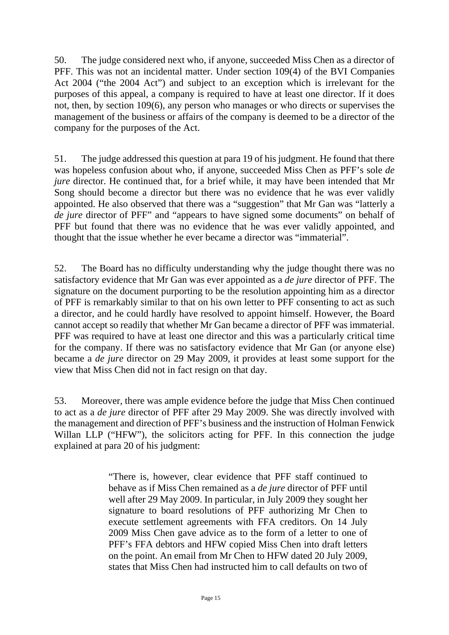50. The judge considered next who, if anyone, succeeded Miss Chen as a director of PFF. This was not an incidental matter. Under section 109(4) of the BVI Companies Act 2004 ("the 2004 Act") and subject to an exception which is irrelevant for the purposes of this appeal, a company is required to have at least one director. If it does not, then, by section 109(6), any person who manages or who directs or supervises the management of the business or affairs of the company is deemed to be a director of the company for the purposes of the Act.

51. The judge addressed this question at para 19 of his judgment. He found that there was hopeless confusion about who, if anyone, succeeded Miss Chen as PFF's sole *de jure* director. He continued that, for a brief while, it may have been intended that Mr Song should become a director but there was no evidence that he was ever validly appointed. He also observed that there was a "suggestion" that Mr Gan was "latterly a *de jure* director of PFF" and "appears to have signed some documents" on behalf of PFF but found that there was no evidence that he was ever validly appointed, and thought that the issue whether he ever became a director was "immaterial".

52. The Board has no difficulty understanding why the judge thought there was no satisfactory evidence that Mr Gan was ever appointed as a *de jure* director of PFF. The signature on the document purporting to be the resolution appointing him as a director of PFF is remarkably similar to that on his own letter to PFF consenting to act as such a director, and he could hardly have resolved to appoint himself. However, the Board cannot accept so readily that whether Mr Gan became a director of PFF was immaterial. PFF was required to have at least one director and this was a particularly critical time for the company. If there was no satisfactory evidence that Mr Gan (or anyone else) became a *de jure* director on 29 May 2009, it provides at least some support for the view that Miss Chen did not in fact resign on that day.

53. Moreover, there was ample evidence before the judge that Miss Chen continued to act as a *de jure* director of PFF after 29 May 2009. She was directly involved with the management and direction of PFF's business and the instruction of Holman Fenwick Willan LLP ("HFW"), the solicitors acting for PFF. In this connection the judge explained at para 20 of his judgment:

> "There is, however, clear evidence that PFF staff continued to behave as if Miss Chen remained as a *de jure* director of PFF until well after 29 May 2009. In particular, in July 2009 they sought her signature to board resolutions of PFF authorizing Mr Chen to execute settlement agreements with FFA creditors. On 14 July 2009 Miss Chen gave advice as to the form of a letter to one of PFF's FFA debtors and HFW copied Miss Chen into draft letters on the point. An email from Mr Chen to HFW dated 20 July 2009, states that Miss Chen had instructed him to call defaults on two of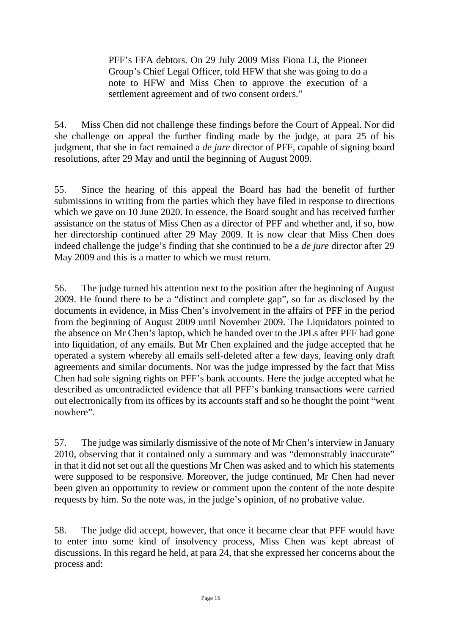PFF's FFA debtors. On 29 July 2009 Miss Fiona Li, the Pioneer Group's Chief Legal Officer, told HFW that she was going to do a note to HFW and Miss Chen to approve the execution of a settlement agreement and of two consent orders."

54. Miss Chen did not challenge these findings before the Court of Appeal. Nor did she challenge on appeal the further finding made by the judge, at para 25 of his judgment, that she in fact remained a *de jure* director of PFF, capable of signing board resolutions, after 29 May and until the beginning of August 2009.

55. Since the hearing of this appeal the Board has had the benefit of further submissions in writing from the parties which they have filed in response to directions which we gave on 10 June 2020. In essence, the Board sought and has received further assistance on the status of Miss Chen as a director of PFF and whether and, if so, how her directorship continued after 29 May 2009. It is now clear that Miss Chen does indeed challenge the judge's finding that she continued to be a *de jure* director after 29 May 2009 and this is a matter to which we must return.

56. The judge turned his attention next to the position after the beginning of August 2009. He found there to be a "distinct and complete gap", so far as disclosed by the documents in evidence, in Miss Chen's involvement in the affairs of PFF in the period from the beginning of August 2009 until November 2009. The Liquidators pointed to the absence on Mr Chen's laptop, which he handed over to the JPLs after PFF had gone into liquidation, of any emails. But Mr Chen explained and the judge accepted that he operated a system whereby all emails self-deleted after a few days, leaving only draft agreements and similar documents. Nor was the judge impressed by the fact that Miss Chen had sole signing rights on PFF's bank accounts. Here the judge accepted what he described as uncontradicted evidence that all PFF's banking transactions were carried out electronically from its offices by its accounts staff and so he thought the point "went nowhere".

57. The judge was similarly dismissive of the note of Mr Chen's interview in January 2010, observing that it contained only a summary and was "demonstrably inaccurate" in that it did not set out all the questions Mr Chen was asked and to which his statements were supposed to be responsive. Moreover, the judge continued, Mr Chen had never been given an opportunity to review or comment upon the content of the note despite requests by him. So the note was, in the judge's opinion, of no probative value.

58. The judge did accept, however, that once it became clear that PFF would have to enter into some kind of insolvency process, Miss Chen was kept abreast of discussions. In this regard he held, at para 24, that she expressed her concerns about the process and: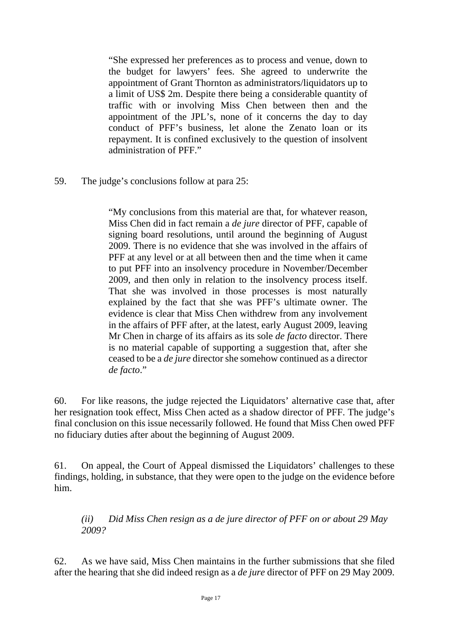"She expressed her preferences as to process and venue, down to the budget for lawyers' fees. She agreed to underwrite the appointment of Grant Thornton as administrators/liquidators up to a limit of US\$ 2m. Despite there being a considerable quantity of traffic with or involving Miss Chen between then and the appointment of the JPL's, none of it concerns the day to day conduct of PFF's business, let alone the Zenato loan or its repayment. It is confined exclusively to the question of insolvent administration of PFF."

59. The judge's conclusions follow at para 25:

"My conclusions from this material are that, for whatever reason, Miss Chen did in fact remain a *de jure* director of PFF, capable of signing board resolutions, until around the beginning of August 2009. There is no evidence that she was involved in the affairs of PFF at any level or at all between then and the time when it came to put PFF into an insolvency procedure in November/December 2009, and then only in relation to the insolvency process itself. That she was involved in those processes is most naturally explained by the fact that she was PFF's ultimate owner. The evidence is clear that Miss Chen withdrew from any involvement in the affairs of PFF after, at the latest, early August 2009, leaving Mr Chen in charge of its affairs as its sole *de facto* director. There is no material capable of supporting a suggestion that, after she ceased to be a *de jure* director she somehow continued as a director *de facto*."

60. For like reasons, the judge rejected the Liquidators' alternative case that, after her resignation took effect, Miss Chen acted as a shadow director of PFF. The judge's final conclusion on this issue necessarily followed. He found that Miss Chen owed PFF no fiduciary duties after about the beginning of August 2009.

61. On appeal, the Court of Appeal dismissed the Liquidators' challenges to these findings, holding, in substance, that they were open to the judge on the evidence before him.

*(ii) Did Miss Chen resign as a de jure director of PFF on or about 29 May 2009?*

62. As we have said, Miss Chen maintains in the further submissions that she filed after the hearing that she did indeed resign as a *de jure* director of PFF on 29 May 2009.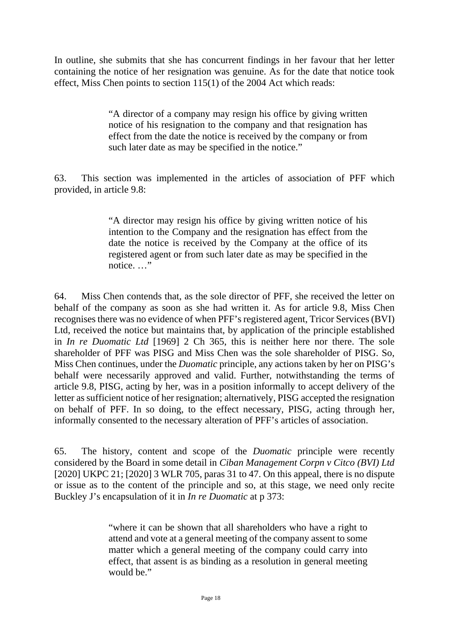In outline, she submits that she has concurrent findings in her favour that her letter containing the notice of her resignation was genuine. As for the date that notice took effect, Miss Chen points to section 115(1) of the 2004 Act which reads:

> "A director of a company may resign his office by giving written notice of his resignation to the company and that resignation has effect from the date the notice is received by the company or from such later date as may be specified in the notice."

63. This section was implemented in the articles of association of PFF which provided, in article 9.8:

> "A director may resign his office by giving written notice of his intention to the Company and the resignation has effect from the date the notice is received by the Company at the office of its registered agent or from such later date as may be specified in the notice. …"

64. Miss Chen contends that, as the sole director of PFF, she received the letter on behalf of the company as soon as she had written it. As for article 9.8, Miss Chen recognises there was no evidence of when PFF's registered agent, Tricor Services (BVI) Ltd, received the notice but maintains that, by application of the principle established in *In re Duomatic Ltd* [1969] 2 Ch 365, this is neither here nor there. The sole shareholder of PFF was PISG and Miss Chen was the sole shareholder of PISG. So, Miss Chen continues, under the *Duomatic* principle, any actions taken by her on PISG's behalf were necessarily approved and valid. Further, notwithstanding the terms of article 9.8, PISG, acting by her, was in a position informally to accept delivery of the letter as sufficient notice of her resignation; alternatively, PISG accepted the resignation on behalf of PFF. In so doing, to the effect necessary, PISG, acting through her, informally consented to the necessary alteration of PFF's articles of association.

65. The history, content and scope of the *Duomatic* principle were recently considered by the Board in some detail in *Ciban Management Corpn v Citco (BVI) Ltd* [2020] UKPC 21; [\[2020\] 3 WLR 705,](https://www.iclr.co.uk/document/2020005931/casereport_1b8cb8bc-1e79-4dc4-87d8-0cbc2b6aa3b2/html?query=&filter=&fullSearchFields=pubref%3A%22%5B2020%5D+UKPC+21%22&page=1&sort=date&pageSize=10&caseName=&court=&catchwords=&judge=&text=&fromDate=&sortOrder=date&publicationReference=%5b2020%5d%20UKPC%2021&toDate=&courts=) paras 31 to 47. On this appeal, there is no dispute or issue as to the content of the principle and so, at this stage, we need only recite Buckley J's encapsulation of it in *In re Duomatic* at p 373:

> "where it can be shown that all shareholders who have a right to attend and vote at a general meeting of the company assent to some matter which a general meeting of the company could carry into effect, that assent is as binding as a resolution in general meeting would be."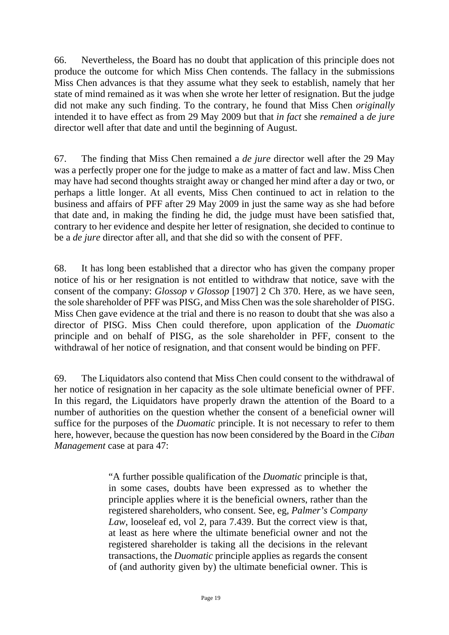66. Nevertheless, the Board has no doubt that application of this principle does not produce the outcome for which Miss Chen contends. The fallacy in the submissions Miss Chen advances is that they assume what they seek to establish, namely that her state of mind remained as it was when she wrote her letter of resignation. But the judge did not make any such finding. To the contrary, he found that Miss Chen *originally* intended it to have effect as from 29 May 2009 but that *in fact* she *remained* a *de jure* director well after that date and until the beginning of August.

67. The finding that Miss Chen remained a *de jure* director well after the 29 May was a perfectly proper one for the judge to make as a matter of fact and law. Miss Chen may have had second thoughts straight away or changed her mind after a day or two, or perhaps a little longer. At all events, Miss Chen continued to act in relation to the business and affairs of PFF after 29 May 2009 in just the same way as she had before that date and, in making the finding he did, the judge must have been satisfied that, contrary to her evidence and despite her letter of resignation, she decided to continue to be a *de jure* director after all, and that she did so with the consent of PFF.

68. It has long been established that a director who has given the company proper notice of his or her resignation is not entitled to withdraw that notice, save with the consent of the company: *Glossop v Glossop* [1907] 2 Ch 370. Here, as we have seen, the sole shareholder of PFF was PISG, and Miss Chen was the sole shareholder of PISG. Miss Chen gave evidence at the trial and there is no reason to doubt that she was also a director of PISG. Miss Chen could therefore, upon application of the *Duomatic* principle and on behalf of PISG, as the sole shareholder in PFF, consent to the withdrawal of her notice of resignation, and that consent would be binding on PFF.

69. The Liquidators also contend that Miss Chen could consent to the withdrawal of her notice of resignation in her capacity as the sole ultimate beneficial owner of PFF. In this regard, the Liquidators have properly drawn the attention of the Board to a number of authorities on the question whether the consent of a beneficial owner will suffice for the purposes of the *Duomatic* principle. It is not necessary to refer to them here, however, because the question has now been considered by the Board in the *Ciban Management* case at para 47:

> "A further possible qualification of the *Duomatic* principle is that, in some cases, doubts have been expressed as to whether the principle applies where it is the beneficial owners, rather than the registered shareholders, who consent. See, eg, *Palmer's Company Law*, looseleaf ed, vol 2, para 7.439. But the correct view is that, at least as here where the ultimate beneficial owner and not the registered shareholder is taking all the decisions in the relevant transactions, the *Duomatic* principle applies as regards the consent of (and authority given by) the ultimate beneficial owner. This is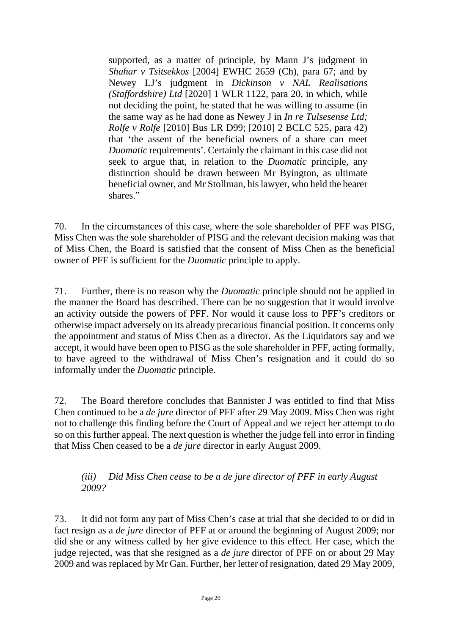supported, as a matter of principle, by Mann J's judgment in *Shahar v Tsitsekkos* [2004] EWHC 2659 (Ch), para 67; and by Newey LJ's judgment in *Dickinson v NAL Realisations (Staffordshire) Ltd* [2020] 1 WLR 1122, para 20, in which, while not deciding the point, he stated that he was willing to assume (in the same way as he had done as Newey J in *In re Tulsesense Ltd; Rolfe v Rolfe* [2010] Bus LR D99; [2010] 2 BCLC 525, para 42) that 'the assent of the beneficial owners of a share can meet *Duomatic* requirements'. Certainly the claimant in this case did not seek to argue that, in relation to the *Duomatic* principle, any distinction should be drawn between Mr Byington, as ultimate beneficial owner, and Mr Stollman, his lawyer, who held the bearer shares."

70. In the circumstances of this case, where the sole shareholder of PFF was PISG, Miss Chen was the sole shareholder of PISG and the relevant decision making was that of Miss Chen, the Board is satisfied that the consent of Miss Chen as the beneficial owner of PFF is sufficient for the *Duomatic* principle to apply.

71. Further, there is no reason why the *Duomatic* principle should not be applied in the manner the Board has described. There can be no suggestion that it would involve an activity outside the powers of PFF. Nor would it cause loss to PFF's creditors or otherwise impact adversely on its already precarious financial position. It concerns only the appointment and status of Miss Chen as a director. As the Liquidators say and we accept, it would have been open to PISG as the sole shareholder in PFF, acting formally, to have agreed to the withdrawal of Miss Chen's resignation and it could do so informally under the *Duomatic* principle.

72. The Board therefore concludes that Bannister J was entitled to find that Miss Chen continued to be a *de jure* director of PFF after 29 May 2009. Miss Chen was right not to challenge this finding before the Court of Appeal and we reject her attempt to do so on this further appeal. The next question is whether the judge fell into error in finding that Miss Chen ceased to be a *de jure* director in early August 2009.

*(iii) Did Miss Chen cease to be a de jure director of PFF in early August 2009?*

73. It did not form any part of Miss Chen's case at trial that she decided to or did in fact resign as a *de jure* director of PFF at or around the beginning of August 2009; nor did she or any witness called by her give evidence to this effect. Her case, which the judge rejected, was that she resigned as a *de jure* director of PFF on or about 29 May 2009 and was replaced by Mr Gan. Further, her letter of resignation, dated 29 May 2009,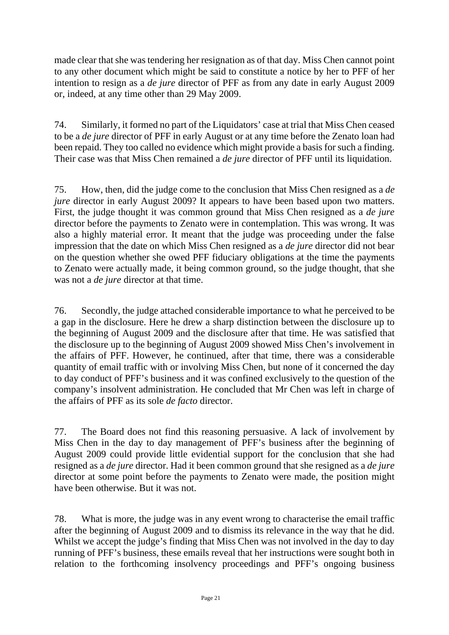made clear that she was tendering her resignation as of that day. Miss Chen cannot point to any other document which might be said to constitute a notice by her to PFF of her intention to resign as a *de jure* director of PFF as from any date in early August 2009 or, indeed, at any time other than 29 May 2009.

74. Similarly, it formed no part of the Liquidators' case at trial that Miss Chen ceased to be a *de jure* director of PFF in early August or at any time before the Zenato loan had been repaid. They too called no evidence which might provide a basis for such a finding. Their case was that Miss Chen remained a *de jure* director of PFF until its liquidation.

75. How, then, did the judge come to the conclusion that Miss Chen resigned as a *de jure* director in early August 2009? It appears to have been based upon two matters. First, the judge thought it was common ground that Miss Chen resigned as a *de jure* director before the payments to Zenato were in contemplation. This was wrong. It was also a highly material error. It meant that the judge was proceeding under the false impression that the date on which Miss Chen resigned as a *de jure* director did not bear on the question whether she owed PFF fiduciary obligations at the time the payments to Zenato were actually made, it being common ground, so the judge thought, that she was not a *de jure* director at that time.

76. Secondly, the judge attached considerable importance to what he perceived to be a gap in the disclosure. Here he drew a sharp distinction between the disclosure up to the beginning of August 2009 and the disclosure after that time. He was satisfied that the disclosure up to the beginning of August 2009 showed Miss Chen's involvement in the affairs of PFF. However, he continued, after that time, there was a considerable quantity of email traffic with or involving Miss Chen, but none of it concerned the day to day conduct of PFF's business and it was confined exclusively to the question of the company's insolvent administration. He concluded that Mr Chen was left in charge of the affairs of PFF as its sole *de facto* director.

77. The Board does not find this reasoning persuasive. A lack of involvement by Miss Chen in the day to day management of PFF's business after the beginning of August 2009 could provide little evidential support for the conclusion that she had resigned as a *de jure* director. Had it been common ground that she resigned as a *de jure* director at some point before the payments to Zenato were made, the position might have been otherwise. But it was not.

78. What is more, the judge was in any event wrong to characterise the email traffic after the beginning of August 2009 and to dismiss its relevance in the way that he did. Whilst we accept the judge's finding that Miss Chen was not involved in the day to day running of PFF's business, these emails reveal that her instructions were sought both in relation to the forthcoming insolvency proceedings and PFF's ongoing business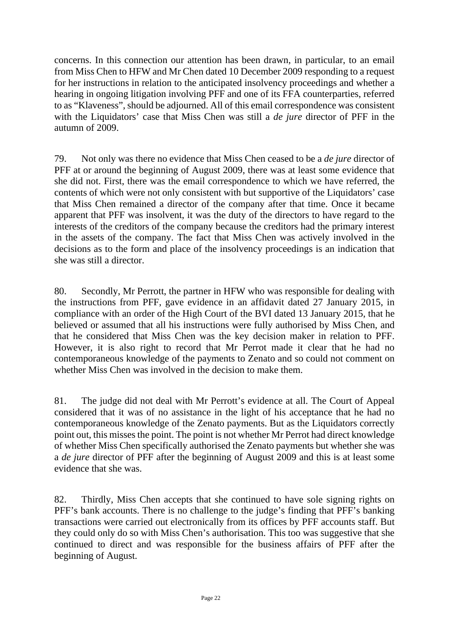concerns. In this connection our attention has been drawn, in particular, to an email from Miss Chen to HFW and Mr Chen dated 10 December 2009 responding to a request for her instructions in relation to the anticipated insolvency proceedings and whether a hearing in ongoing litigation involving PFF and one of its FFA counterparties, referred to as "Klaveness", should be adjourned. All of this email correspondence was consistent with the Liquidators' case that Miss Chen was still a *de jure* director of PFF in the autumn of 2009.

79. Not only was there no evidence that Miss Chen ceased to be a *de jure* director of PFF at or around the beginning of August 2009, there was at least some evidence that she did not. First, there was the email correspondence to which we have referred, the contents of which were not only consistent with but supportive of the Liquidators' case that Miss Chen remained a director of the company after that time. Once it became apparent that PFF was insolvent, it was the duty of the directors to have regard to the interests of the creditors of the company because the creditors had the primary interest in the assets of the company. The fact that Miss Chen was actively involved in the decisions as to the form and place of the insolvency proceedings is an indication that she was still a director.

80. Secondly, Mr Perrott, the partner in HFW who was responsible for dealing with the instructions from PFF, gave evidence in an affidavit dated 27 January 2015, in compliance with an order of the High Court of the BVI dated 13 January 2015, that he believed or assumed that all his instructions were fully authorised by Miss Chen, and that he considered that Miss Chen was the key decision maker in relation to PFF. However, it is also right to record that Mr Perrot made it clear that he had no contemporaneous knowledge of the payments to Zenato and so could not comment on whether Miss Chen was involved in the decision to make them.

81. The judge did not deal with Mr Perrott's evidence at all. The Court of Appeal considered that it was of no assistance in the light of his acceptance that he had no contemporaneous knowledge of the Zenato payments. But as the Liquidators correctly point out, this misses the point. The point is not whether Mr Perrot had direct knowledge of whether Miss Chen specifically authorised the Zenato payments but whether she was a *de jure* director of PFF after the beginning of August 2009 and this is at least some evidence that she was.

82. Thirdly, Miss Chen accepts that she continued to have sole signing rights on PFF's bank accounts. There is no challenge to the judge's finding that PFF's banking transactions were carried out electronically from its offices by PFF accounts staff. But they could only do so with Miss Chen's authorisation. This too was suggestive that she continued to direct and was responsible for the business affairs of PFF after the beginning of August.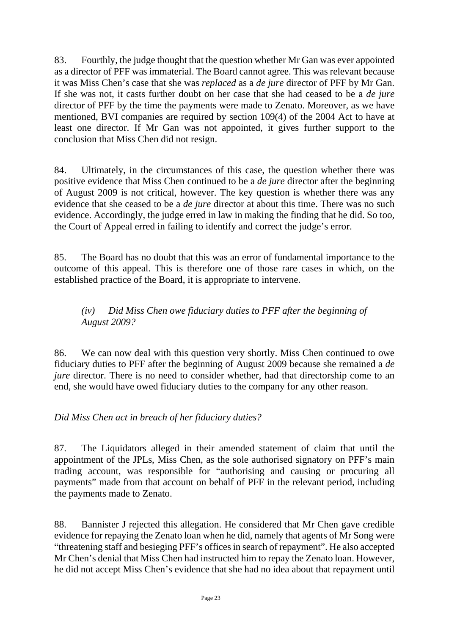83. Fourthly, the judge thought that the question whether Mr Gan was ever appointed as a director of PFF was immaterial. The Board cannot agree. This was relevant because it was Miss Chen's case that she was *replaced* as a *de jure* director of PFF by Mr Gan. If she was not, it casts further doubt on her case that she had ceased to be a *de jure* director of PFF by the time the payments were made to Zenato. Moreover, as we have mentioned, BVI companies are required by section 109(4) of the 2004 Act to have at least one director. If Mr Gan was not appointed, it gives further support to the conclusion that Miss Chen did not resign.

84. Ultimately, in the circumstances of this case, the question whether there was positive evidence that Miss Chen continued to be a *de jure* director after the beginning of August 2009 is not critical, however. The key question is whether there was any evidence that she ceased to be a *de jure* director at about this time. There was no such evidence. Accordingly, the judge erred in law in making the finding that he did. So too, the Court of Appeal erred in failing to identify and correct the judge's error.

85. The Board has no doubt that this was an error of fundamental importance to the outcome of this appeal. This is therefore one of those rare cases in which, on the established practice of the Board, it is appropriate to intervene.

#### *(iv) Did Miss Chen owe fiduciary duties to PFF after the beginning of August 2009?*

86. We can now deal with this question very shortly. Miss Chen continued to owe fiduciary duties to PFF after the beginning of August 2009 because she remained a *de jure* director. There is no need to consider whether, had that directorship come to an end, she would have owed fiduciary duties to the company for any other reason.

*Did Miss Chen act in breach of her fiduciary duties?*

87. The Liquidators alleged in their amended statement of claim that until the appointment of the JPLs, Miss Chen, as the sole authorised signatory on PFF's main trading account, was responsible for "authorising and causing or procuring all payments" made from that account on behalf of PFF in the relevant period, including the payments made to Zenato.

88. Bannister J rejected this allegation. He considered that Mr Chen gave credible evidence for repaying the Zenato loan when he did, namely that agents of Mr Song were "threatening staff and besieging PFF's offices in search of repayment". He also accepted Mr Chen's denial that Miss Chen had instructed him to repay the Zenato loan. However, he did not accept Miss Chen's evidence that she had no idea about that repayment until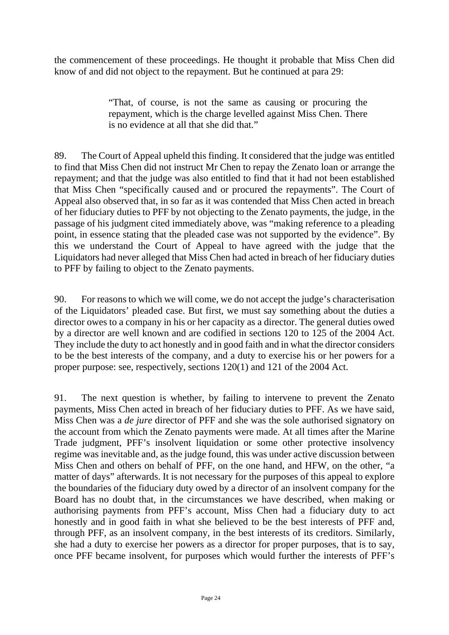the commencement of these proceedings. He thought it probable that Miss Chen did know of and did not object to the repayment. But he continued at para 29:

> "That, of course, is not the same as causing or procuring the repayment, which is the charge levelled against Miss Chen. There is no evidence at all that she did that."

89. The Court of Appeal upheld this finding. It considered that the judge was entitled to find that Miss Chen did not instruct Mr Chen to repay the Zenato loan or arrange the repayment; and that the judge was also entitled to find that it had not been established that Miss Chen "specifically caused and or procured the repayments". The Court of Appeal also observed that, in so far as it was contended that Miss Chen acted in breach of her fiduciary duties to PFF by not objecting to the Zenato payments, the judge, in the passage of his judgment cited immediately above, was "making reference to a pleading point, in essence stating that the pleaded case was not supported by the evidence". By this we understand the Court of Appeal to have agreed with the judge that the Liquidators had never alleged that Miss Chen had acted in breach of her fiduciary duties to PFF by failing to object to the Zenato payments.

90. For reasons to which we will come, we do not accept the judge's characterisation of the Liquidators' pleaded case. But first, we must say something about the duties a director owes to a company in his or her capacity as a director. The general duties owed by a director are well known and are codified in sections 120 to 125 of the 2004 Act. They include the duty to act honestly and in good faith and in what the director considers to be the best interests of the company, and a duty to exercise his or her powers for a proper purpose: see, respectively, sections 120(1) and 121 of the 2004 Act.

91. The next question is whether, by failing to intervene to prevent the Zenato payments, Miss Chen acted in breach of her fiduciary duties to PFF. As we have said, Miss Chen was a *de jure* director of PFF and she was the sole authorised signatory on the account from which the Zenato payments were made. At all times after the Marine Trade judgment, PFF's insolvent liquidation or some other protective insolvency regime was inevitable and, as the judge found, this was under active discussion between Miss Chen and others on behalf of PFF, on the one hand, and HFW, on the other, "a matter of days" afterwards. It is not necessary for the purposes of this appeal to explore the boundaries of the fiduciary duty owed by a director of an insolvent company for the Board has no doubt that, in the circumstances we have described, when making or authorising payments from PFF's account, Miss Chen had a fiduciary duty to act honestly and in good faith in what she believed to be the best interests of PFF and, through PFF, as an insolvent company, in the best interests of its creditors. Similarly, she had a duty to exercise her powers as a director for proper purposes, that is to say, once PFF became insolvent, for purposes which would further the interests of PFF's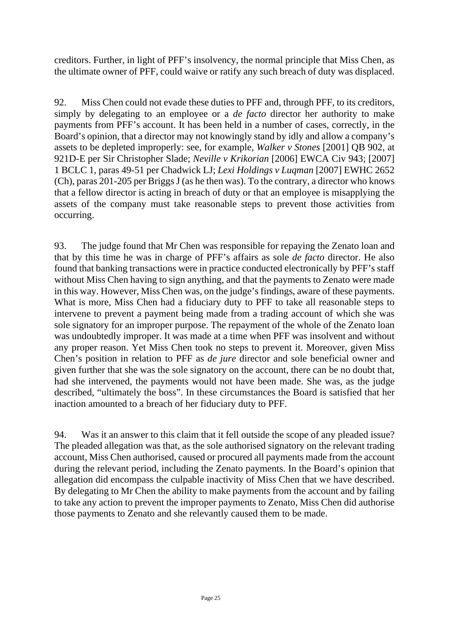creditors. Further, in light of PFF's insolvency, the normal principle that Miss Chen, as the ultimate owner of PFF, could waive or ratify any such breach of duty was displaced.

92. Miss Chen could not evade these duties to PFF and, through PFF, to its creditors, simply by delegating to an employee or a *de facto* director her authority to make payments from PFF's account. It has been held in a number of cases, correctly, in the Board's opinion, that a director may not knowingly stand by idly and allow a company's assets to be depleted improperly: see, for example, *Walker v Stones* [2001] QB 902, at 921D-E per Sir Christopher Slade; *Neville v Krikorian* [2006] EWCA Civ 943; [2007] 1 BCLC 1, paras 49-51 per Chadwick LJ; *Lexi Holdings v Luqman* [2007] EWHC 2652 (Ch), paras 201-205 per Briggs J(as he then was). To the contrary, a director who knows that a fellow director is acting in breach of duty or that an employee is misapplying the assets of the company must take reasonable steps to prevent those activities from occurring.

93. The judge found that Mr Chen was responsible for repaying the Zenato loan and that by this time he was in charge of PFF's affairs as sole *de facto* director. He also found that banking transactions were in practice conducted electronically by PFF's staff without Miss Chen having to sign anything, and that the payments to Zenato were made in this way. However, Miss Chen was, on the judge's findings, aware of these payments. What is more, Miss Chen had a fiduciary duty to PFF to take all reasonable steps to intervene to prevent a payment being made from a trading account of which she was sole signatory for an improper purpose. The repayment of the whole of the Zenato loan was undoubtedly improper. It was made at a time when PFF was insolvent and without any proper reason. Yet Miss Chen took no steps to prevent it. Moreover, given Miss Chen's position in relation to PFF as *de jure* director and sole beneficial owner and given further that she was the sole signatory on the account, there can be no doubt that, had she intervened, the payments would not have been made. She was, as the judge described, "ultimately the boss". In these circumstances the Board is satisfied that her inaction amounted to a breach of her fiduciary duty to PFF.

94. Was it an answer to this claim that it fell outside the scope of any pleaded issue? The pleaded allegation was that, as the sole authorised signatory on the relevant trading account, Miss Chen authorised, caused or procured all payments made from the account during the relevant period, including the Zenato payments. In the Board's opinion that allegation did encompass the culpable inactivity of Miss Chen that we have described. By delegating to Mr Chen the ability to make payments from the account and by failing to take any action to prevent the improper payments to Zenato, Miss Chen did authorise those payments to Zenato and she relevantly caused them to be made.